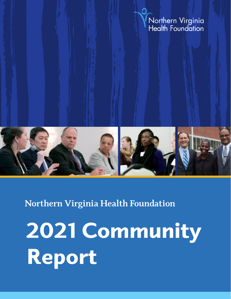# Northern Virginia<br>Health Foundation



**Northern Virginia Health Foundation**

2021 Community Report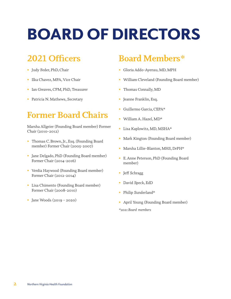# BOARD OF DIRECTORS

### **2021 Officers**

- **Judy Feder, PhD, Chair**
- **Ilka Chavez, MPA, Vice Chair**
- **I** Ian Greaves, CPM, PhD, Treasurer
- **Patricia N. Mathews, Secretary**

### **Former Board Chairs**

Marsha Allgeier (Founding Board member) Former Chair (2010-2012)

- **Thomas C. Brown, Jr., Esq. (Founding Board)** member) Former Chair (2005-2007)
- **Jane Delgado, PhD (Founding Board member)** Former Chair (2014-2016)
- Verdia Haywood (Founding Board member) Former Chair (2012-2014)
- **Lisa Chimento (Founding Board member)** Former Chair (2008-2010)
- $\blacksquare$  Jane Woods (2019 2020)

### **Board Members\***

- Gloria Addo-Ayensu, MD, MPH
- William Cleveland (Founding Board member)
- Thomas Connally, MD
- Jeanne Franklin, Esq.
- Guillermo Garcia, CEPA\*
- William A. Hazel, MD\*
- Lisa Kaplowitz, MD, MSHA\*
- **Mark Kington (Founding Board member)**
- Marsha Lillie-Blanton, MHS, DrPH\*
- E. Anne Peterson, PhD (Founding Board member)
- **Jeff Schragg**
- David Speck, EdD
- Philip Sunderland\*
- April Young (Founding Board member)

*\*2021 Board members*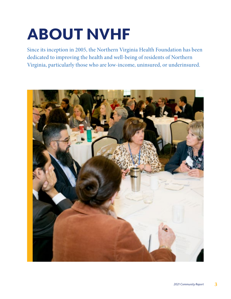# ABOUT NVHF

Since its inception in 2005, the Northern Virginia Health Foundation has been dedicated to improving the health and well-being of residents of Northern Virginia, particularly those who are low-income, uninsured, or underinsured.

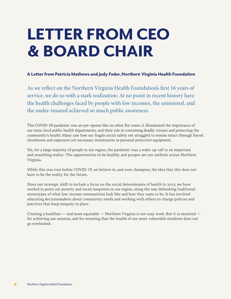## LETTER FROM CEO & BOARD CHAIR

A Letter from Patricia Mathews and Judy Feder, Northern Virginia Health Foundation

As we reflect on the Northern Virginia Health Foundation's first 16 years of service, we do so with a stark realization: At no point in recent history have the health challenges faced by people with low incomes, the uninsured, and the under-insured achieved so much public awareness.

The COVID-19 pandemic was an eye-opener like no other. For some, it illuminated the importance of our state, local public health departments, and their role in containing deadly viruses and protecting the community's health. Many saw how our fragile social safety net struggled to remain intact through forced shutdowns and expensive yet necessary investments in personal protective equipment.

Yet, for a large majority of people in our region, the pandemic was a wake-up call to an important and unsettling reality: The opportunities to be healthy and prosper are not uniform across Northern Virginia.

While this was true before COVID-19, we believe in, and even champion, the idea that this does not have to be the reality for the future.

Since our strategic shift to include a focus on the social determinants of health in 2015, we have worked to point out poverty and racial inequities in our region, along the way debunking traditional stereotypes of what low-income communities look like and how they came to be. It has involved educating decisionmakers about community needs and working with others to change policies and practices that keep inequity in place.

Creating a healthier — and more equitable — Northern Virginia is not easy work. But it is essential for achieving our mission, and for ensuring that the health of our most vulnerable residents does not go overlooked.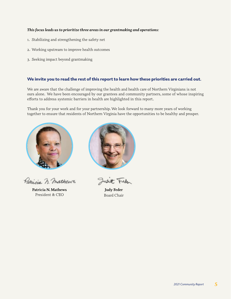#### *This focus leads us to prioritize three areas in our grantmaking and operations:*

- 1. Stabilizing and strengthening the safety net
- 2. Working upstream to improve health outcomes
- 3. Seeking impact beyond grantmaking

#### We invite you to read the rest of this report to learn how these priorities are carried out.

We are aware that the challenge of improving the health and health care of Northern Virginians is not ours alone. We have been encouraged by our grantees and community partners, some of whose inspiring efforts to address systemic barriers in health are highlighted in this report.

Thank you for your work and for your partnership. We look forward to many more years of working together to ensure that residents of Northern Virginia have the opportunities to be healthy and prosper.



Patricia n. mathews

**Patricia N. Mathews** President & CEO



**Judy Feder** Board Chair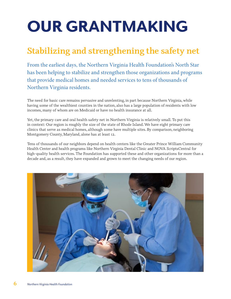# OUR GRANTMAKING

## **Stabilizing and strengthening the safety net**

From the earliest days, the Northern Virginia Health Foundation's North Star has been helping to stabilize and strengthen those organizations and programs that provide medical homes and needed services to tens of thousands of Northern Virginia residents.

The need for basic care remains pervasive and unrelenting, in part because Northern Virginia, while having some of the wealthiest counties in the nation, also has a large population of residents with low incomes, many of whom are on Medicaid or have no health insurance at all.

Yet, the primary care and oral health safety net in Northern Virginia is relatively small. To put this in context: Our region is roughly the size of the state of Rhode Island. We have eight primary care clinics that serve as medical homes, although some have multiple sites. By comparison, neighboring Montgomery County, Maryland, alone has at least 12.

Tens of thousands of our neighbors depend on health centers like the Greater Prince William Community Health Center and health programs like Northern Virginia Dental Clinic and NOVA ScriptsCentral for high-quality health services. The Foundation has supported these and other organizations for more than a decade and, as a result, they have expanded and grown to meet the changing needs of our region.

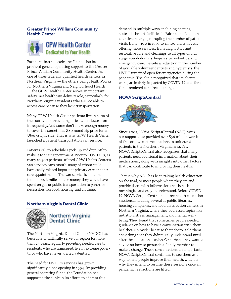#### Greater Prince William Community Health Center



For more than a decade, the Foundation has provided general operating support to the Greater Prince William Community Health Center. As one of three federally qualified health centers in Northern Virginia — the others being HealthWorks for Northern Virginia and Neighborhood Health — the GPW Health Center serves an important safety-net healthcare delivery role, particularly for Northern Virginia residents who are not able to access care because they lack transportation.

Many GPW Health Center patients live in parts of the county or surrounding cities where buses run infrequently. And some don't make enough money to cover the sometimes \$80 roundtrip price for an Uber or Lyft ride. That is why GPW Health Center launched a patient transportation van service.

Patients call to schedule a pick-up and drop-off to make it to their appointment. Prior to COVID-19, as many as 300 patients utilized GPW Health Center's van services each month, many of whom could have easily missed important primary care or dental care appointments. The van service is a lifeline that allows families to use money they would have spent on gas or public transportation to purchase necessities like food, housing, and clothing.

#### Northern Virginia Dental Clinic



#### Northern Virginia **Dental Clinic**

The Northern Virginia Dental Clinic (NVDC) has been able to faithfully serve our region for more than 25 years, regularly providing needed care to residents who are uninsured, live in extreme poverty, or who have never visited a dentist.

The need for NVDC's services has grown significantly since opening in 1994. By providing general operating funds, the Foundation has supported the clinic in its efforts to address this

demand in multiple ways, including opening state-of-the-art facilities in Fairfax and Loudoun counties; nearly quadrupling the number of patient visits from 3,100 in 1997 to 11,300 visits in 2017; offering more services: from diagnostics and restorative care and cleanings to all types of oral surgery, endodontics, biopsies, periodontics, and emergency care. Despite a reduction in the number of available volunteer dentists and hygienists, the NVDC remained open for emergencies during the pandemic. The clinic recognized that its clients were particularly impacted by COVID-19 and, for a time, rendered care free of charge.

#### NOVA ScriptsCentral



Since 2007, NOVA ScriptsCentral (NSC), with our support, has provided over \$56 million worth of free or low-cost medications to uninsured patients in the Northern Virginia area. Yet, NOVA ScriptsCentral also recognizes that many patients need additional information about their medications, along with insights into other factors that can contribute to improving their health.

That is why NSC has been taking health education on the road, to meet people where they are and provide them with information that is both meaningful and easy to understand. Before COVID-19, NOVA ScriptsCentral held free health education sessions, including several at public libraries, housing complexes, and food distribution centers in Northern Virginia, where they addressed topics like nutrition, stress management, and mental wellbeing. They found that sometimes people needed guidance on how to have a conversation with their healthcare provider because their doctor told them something that they didn't really understand until after the education session. Or perhaps they wanted advice on how to persuade a family member to make a change. These conversations are important. NOVA ScriptsCentral continues to see them as a way to help people improve their health, which is why they intend to resume these sessions once all pandemic restrictions are lifted.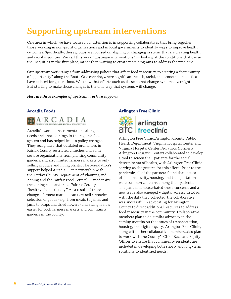## **Supporting upstream interventions**

One area in which we have focused our attention is in supporting collaboratives that bring together those working in non-profit organizations and in local governments to identify ways to improve health outcomes. Specifically, these groups are focused on aligning or changing systems that are creating health and racial inequities. We call this work "upstream interventions" — looking at the conditions that cause the inequities in the first place, rather than waiting to create more programs to address the problems.

Our upstream work ranges from addressing polices that affect food insecurity, to creating a "community of opportunity" along the Route One corridor, where significant health, racial, and economic inequities have existed for generations. We know that efforts such as these do not change systems overnight. But starting to make those changes is the only way that systems will change.

#### *Here are three examples of upstream work we support:*

#### Arcadia Foods



Arcadia's work is instrumental in calling out needs and shortcomings in the region's food system and has helped lead to policy changes. They recognized that outdated ordinances in Fairfax County restricted churches and some service organizations from planting community gardens, and also limited farmers markets to only selling produce and living plants. The Foundation's support helped Arcadia — in partnership with the Fairfax County Department of Planning and Zoning and the Fairfax Food Council — modernize the zoning code and make Fairfax County "healthy-food-friendly." As a result of these changes, farmers markets can now sell a broader selection of goods (e.g., from meats to jellies and jams to soaps and dried flowers) and siting is now easier for both farmers markets and community gardens in the county.

#### Arlington Free Clinic



Arlington Free Clinic, Arlington County Public Health Department, Virginia Hospital Center and Virginia Hospital Center Pediatrics (formerly Arlington Pediatric Center) collaborated to develop a tool to screen their patients for the social determinants of health, with Arlington Free Clinic serving as the grantee for this effort. Prior to the pandemic, all of the partners found that issues of food insecurity, housing, and transportation were common concerns among their patients. The pandemic exacerbated those concerns and a new issue also emerged – digital access. In 2019, with the data they collected, the collaborative was successful in advocating for Arlington County to direct additional resources to address food insecurity in the community. Collaborative members plan to do similar advocacy in the coming months on the issues of transportation, housing, and digital equity. Arlington Free Clinic, along with other collaborative members, also plan to work with the County's Chief Race and Equity Officer to ensure that community residents are included in developing both short- and long-term solutions to identified needs.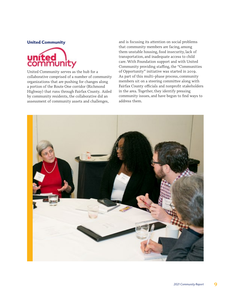#### United Community



United Community serves as the hub for a collaborative comprised of a number of community organizations that are pushing for changes along a portion of the Route One corridor (Richmond Highway) that runs through Fairfax County. Aided by community residents, the collaborative did an assessment of community assets and challenges,

and is focusing its attention on social problems that community members are facing, among them unstable housing, food insecurity, lack of transportation, and inadequate access to child care. With Foundation support and with United Community providing staffing, the "Communities of Opportunity" initiative was started in 2019. As part of this multi-phase process, community members sit on a steering committee along with Fairfax County officials and nonprofit stakeholders in the area. Together, they identify pressing community issues, and have begun to find ways to address them.

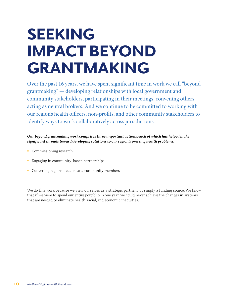## SEEKING IMPACT BEYOND GRANTMAKING

Over the past 16 years, we have spent significant time in work we call "beyond grantmaking" — developing relationships with local government and community stakeholders, participating in their meetings, convening others, acting as neutral brokers. And we continue to be committed to working with our region's health officers, non-profits, and other community stakeholders to identify ways to work collaboratively across jurisdictions.

*Our beyond grantmaking work comprises three important actions, each of which has helped make significant inroads toward developing solutions to our region's pressing health problems:* 

- **Commissioning research**
- Engaging in community-based partnerships
- Convening regional leaders and community members

We do this work because we view ourselves as a strategic partner, not simply a funding source. We know that if we were to spend our entire portfolio in one year, we could never achieve the changes in systems that are needed to eliminate health, racial, and economic inequities.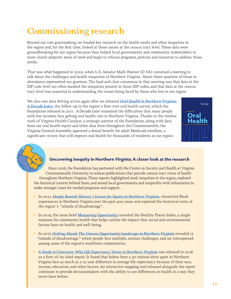## **Commissioning research**

Beyond our core grantmaking, we funded key research on the health needs and other inequities in the region and, for the first time, looked at these issues at the census tract level. These data were groundbreaking for our region because they helped local governments and community stakeholders to more clearly pinpoint areas of need and begin to refocus programs, policies and resources to address those needs.

That was what happened in 2020, when U.S. Senator Mark Warner (D-VA) convened a meeting to talk about the challenges and health inequities of Northern Virginia. About three-quarters of those in attendance represented our grantees. The loud and clear consensus in that meeting was that data at the ZIP code level too often masked the inequities present in those ZIP codes, and that data at the census tract level was essential to understanding the issues being faced by those who live in our region.

We also saw data driving action again after we released *[Oral Health in Northern Virginia:](https://novahealthfdn.org/resources/2020-northern-virginia-health-foundation-report-on-region-s-oral-health)  [A Decade Later](https://novahealthfdn.org/resources/2020-northern-virginia-health-foundation-report-on-region-s-oral-health),* the follow-up to the region's first-ever oral health survey, which the Foundation released in 2011. *A Decade Later* examined the difficulties that many people with low incomes face getting oral health care in Northern Virginia. Thanks to the tireless work of Virginia Health Catalyst, a strategic partner of the Foundation, along with data from our oral health report and other data from throughout the Commonwealth, the Virginia General Assembly approved a dental benefit for adult Medicaid enrollees, a significant victory that will improve oral health for thousands of residents in our region.





#### Uncovering inequity in Northern Virginia: A closer look at the research

Since 2016, the Foundation has partnered with the Center on Society and Health at Virginia Commonwealth University to release publications that provide census tract views of health throughout Northern Virginia. These reports highlighted stark inequities in the region, explored the historical context behind them, and armed local governments and nonprofits with information to make stronger cases for needed programs and support.

- In 2021, *[Deeply Rooted: History's Lesson for Equity in Northern Virginia](https://novahealthfdn.org/resources/deeply-rooted-report)*, chronicled Black experiences in Northern Virginia over the past 400 years and explored the historical roots of the region's "islands of disadvantage".
- In 2019, the issue brief *[Measuring Opportunity](https://novahealthfdn.org/resources/mapping-opportunity-in-northern-virginia)* unveiled the Healthy Places Index, a single measure for community health that helps outline the impact that social and environmental factors have on health and well-being.
- In 2017, *[Getting Ahead: The Uneven Opportunity Landscape in Northern Virginia](https://novahealthfdn.org/resources/getting-ahead-the-uneven-opportunity-landscape-in-northern-virginia)* revealed 15 "islands of disadvantage," where people face multiple, serious challenges, and are interspersed among some of the region's wealthiest communities.
- *[A Study in Contrasts: Why Life Expectancy Varies in Northern Virginia](https://novahealthfdn.org/resources/a-study-in-contrasts-why-life-expectancy-varies-in-northern-virginia)* was released in 2016 as a first-of-its-kind-report. It found that babies born a 30-minute drive apart in Northern Virginia face as much as a 13-year difference in average life expectancy because of their race, income, education, and other factors. An interactive mapping tool released alongside the report continues to provide decisionmakers with the ability to see differences in health in a way they never have before.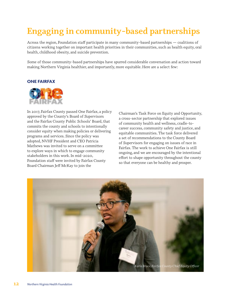## **Engaging in community-based partnerships**

Across the region, Foundation staff participate in many community-based partnerships — coalitions of citizens working together on important health priorities in their communities, such as health equity, oral health, childhood obesity, and suicide prevention.

Some of those community-based partnerships have spurred considerable conversation and action toward making Northern Virginia healthier, and importantly, more equitable. Here are a select few:

#### ONE FAIRFAX



In 2017, Fairfax County passed One Fairfax, a policy approved by the County's Board of Supervisors and the Fairfax County Public Schools' Board, that commits the county and schools to intentionally consider equity when making policies or delivering programs and services. Since the policy was adopted, NVHF President and CEO Patricia Mathews was invited to serve on a committee to explore ways in which to engage community stakeholders in this work. In mid-2020, Foundation staff were invited by Fairfax County Board Chairman Jeff McKay to join the

Chairman's Task Force on Equity and Opportunity, a cross-sector partnership that explored issues of community health and wellness, cradle-tocareer success, community safety and justice, and equitable communities. The task force delivered a set of recommendations to the County Board of Supervisors for engaging on issues of race in Fairfax. The work to achieve One Fairfax is still ongoing, and we are encouraged by the intentional effort to shape opportunity throughout the county so that everyone can be healthy and prosper.

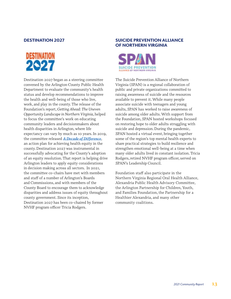#### DESTINATION 2027



Destination 2027 began as a steering committee convened by the Arlington County Public Health Department to evaluate the community's health status and develop recommendations to improve the health and well-being of those who live, work, and play in the county. The release of the Foundation's report, *Getting Ahead: The Uneven Opportunity Landscape in Northern Virginia*, helped to focus the committee's work on educating community leaders and decisionmakers about health disparities in Arlington, where life expectancy can vary by much as 10 years. In 2019, the committee released *[A Decade of Difference](https://arlingtonva.s3.amazonaws.com/wp-content/uploads/sites/25/2019/04/A-Decade-of-Difference-D2027-Report.pdf)*, an action plan for achieving health equity in the county. Destination 2027 was instrumental in successfully advocating for the County's adoption of an equity resolution. That report is helping drive Arlington leaders to apply equity considerations in decision making across all sectors. In 2021, the committee co-chairs have met with members and staff of a number of Arlington's Boards and Commissions, and with members of the County Board to encourage them to acknowledge disparities and address issues of equity throughout county government. Since its inception, Destination 2027 has been co-chaired by former NVHF program officer Tricia Rodgers.

#### SUICIDE PREVENTION ALLIANCE OF NORTHERN VIRGINIA



The Suicide Prevention Alliance of Northern Virginia (SPAN) is a regional collaboration of public and private organizations committed to raising awareness of suicide and the resources available to prevent it. While many people associate suicide with teenagers and young adults, SPAN has worked to raise awareness of suicide among older adults. With support from the Foundation, SPAN hosted workshops focused on restoring hope to older adults struggling with suicide and depression. During the pandemic, SPAN hosted a virtual event, bringing together some of the region's top mental health experts to share practical strategies to build resilience and strengthen emotional well-being at a time when many older adults lived in constant isolation. Tricia Rodgers, retired NVHF program officer, served on SPAN's Leadership Council.

Foundation staff also participate in the Northern Virginia Regional Oral Health Alliance, Alexandria Public Health Advisory Committee, the Arlington Partnership for Children, Youth, and Families Foundation, the Partnership for a Healthier Alexandria, and many other community coalitions.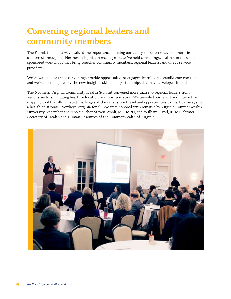### **Convening regional leaders and community members**

The Foundation has always valued the importance of using our ability to convene key communities of interest throughout Northern Virginia. In recent years, we've held convenings, health summits and sponsored workshops that bring together community members, regional leaders, and direct service providers.

We've watched as these convenings provide opportunity for engaged learning and candid conversation  $$ and we've been inspired by the new insights, skills, and partnerships that have developed from them.

The Northern Virginia Community Health Summit convened more than 150 regional leaders from various sectors including health, education, and transportation. We unveiled our report and interactive mapping tool that illuminated challenges at the census tract level and opportunities to chart pathways to a healthier, stronger Northern Virginia for all. We were honored with remarks by Virginia Commonwealth University researcher and report author Steven Woolf, MD, MPH, and William Hazel, Jr., MD, former Secretary of Health and Human Resources of the Commonwealth of Virginia.

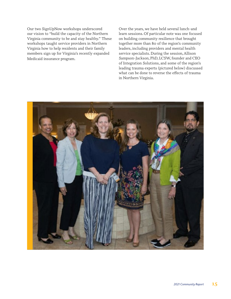Our two SignUpNow workshops underscored our vision to "build the capacity of the Northern Virginia community to be and stay healthy." These workshops taught service providers in Northern Virginia how to help residents and their family members sign up for Virginia's recently expanded Medicaid insurance program.

Over the years, we have held several lunch-and learn sessions. Of particular note was one focused on building community resilience that brought together more than 80 of the region's community leaders, including providers and mental health service specialists. During the session, Allison Sampson-Jackson, PhD, LCSW, founder and CEO of Integration Solutions, and some of the region's leading trauma experts (pictured below) discussed what can be done to reverse the effects of trauma in Northern Virginia.

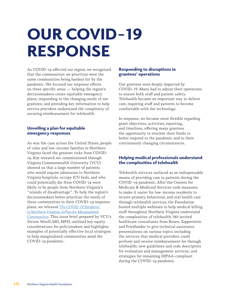## OUR COVID-19 RESPONSE

As COVID-19 affected our region, we recognized that the communities we prioritize were the same communities being hardest hit by the pandemic. We focused our response efforts on three specific areas  $-$  helping the region's decisionmakers create equitable emergency plans; responding to the changing needs of our grantees; and providing key information to help service providers understand the complexity of securing reimbursement for telehealth.

#### Unveiling a plan for equitable emergency responses

As was the case across the United States, people of color and low-income families in Northern Virginia faced the greatest risks from COVID-19. Key research we commissioned through Virginia Commonwealth University (VCU) showed us that a large number of patients who would require admission to Northern Virginia hospitals, occupy ICU beds, and who could potentially die from COVID-19 were likely to be people from [Northern Virginia's](https://novahealthfdn.org/news-disadvantage-nova/)  ["islands of disadvantage"](https://novahealthfdn.org/news-disadvantage-nova/). To help the region's decisionmakers better prioritize the needs of these communities in their COVID-19 response plans, we released *[The COVID-19 Pandemic](https://novahealthfdn.org/resources/the-covid-19-pandemic-in-northern-virginia-a-plan-for-marginalized-communities)  [in Northern Virginia: A Plan for Marginalized](https://novahealthfdn.org/resources/the-covid-19-pandemic-in-northern-virginia-a-plan-for-marginalized-communities)  [Communities](https://novahealthfdn.org/resources/the-covid-19-pandemic-in-northern-virginia-a-plan-for-marginalized-communities)*. This issue brief, prepared by VCU's Steven Woolf, MD, MPH, outlined key equity considerations for policymakers and highlights examples of potentially effective local strategies to help marginalized communities amid the COVID-19 pandemic.

#### Responding to disruptions in grantees' operations

Our grantees were deeply impacted by COVID-19. Many had to adjust their operations to ensure both staff and patient safety. Telehealth became an important way to deliver care, requiring staff and patients to become comfortable with the technology.

In response, we became more flexible regarding grant objectives, activities, reporting, and timelines, offering many grantees the opportunity to reorient their funds to better respond to the pandemic and to their continuously changing circumstances.

#### Helping medical professionals understand the complexities of telehealth

Telehealth services surfaced as an indispensable means of providing care to patients during the COVID-19 pandemic. After the Centers for Medicare & Medicaid Services took measures to make it easier for low-income residents to receive primary, behavioral, and oral health care through telehealth services, the Foundation hosted multiple webinars to help medical billing staff throughout Northern Virginia understand the complexities of telehealth. We invited healthcare consultants from Rosen, Sapperstein and Friedlander to give technical assistance presentations on various topics including the services that medical providers could perform and receive reimbursement for through telehealth; new guidelines and code descriptors for evaluation and management services; and strategies for remaining HIPAA-compliant during the COVID-19 pandemic.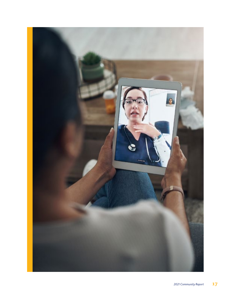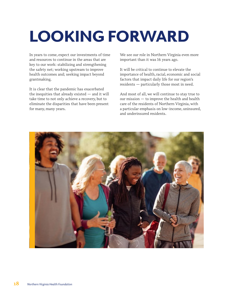# LOOKING FORWARD

In years to come, expect our investments of time and resources to continue in the areas that are key to our work: stabilizing and strengthening the safety net; working upstream to improve health outcomes and; seeking impact beyond grantmaking.

It is clear that the pandemic has exacerbated the inequities that already existed  $-$  and it will take time to not only achieve a recovery, but to eliminate the disparities that have been present for many, many years.

We see our role in Northern Virginia even more important than it was 16 years ago.

It will be critical to continue to elevate the importance of health, racial, economic and social factors that impact daily life for our region's residents — particularly those most in need.

And most of all, we will continue to stay true to our mission — to improve the health and health care of the residents of Northern Virginia, with a particular emphasis on low-income, uninsured, and underinsured residents.

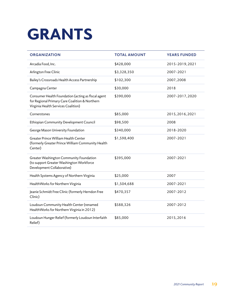## GRANTS

| <b>ORGANIZATION</b>                                                                                                                         | <b>TOTAL AMOUNT</b> | <b>YEARS FUNDED</b> |
|---------------------------------------------------------------------------------------------------------------------------------------------|---------------------|---------------------|
| Arcadia Food, Inc.                                                                                                                          | \$428,000           | 2015-2019, 2021     |
| Arlington Free Clinic                                                                                                                       | \$3,328,350         | 2007-2021           |
| Bailey's Crossroads Health Access Partnership                                                                                               | \$102,300           | 2007, 2008          |
| Campagna Center                                                                                                                             | \$30,000            | 2018                |
| Consumer Health Foundation (acting as fiscal agent<br>for Regional Primary Care Coalition & Northern<br>Virginia Health Services Coalition) | \$390,000           | 2007-2017, 2020     |
| Cornerstones                                                                                                                                | \$85,000            | 2015, 2016, 2021    |
| Ethiopian Community Development Council                                                                                                     | \$98,500            | 2008                |
| George Mason University Foundation                                                                                                          | \$340,000           | 2018-2020           |
| Greater Prince William Health Center<br>(formerly Greater Prince William Community Health<br>Center)                                        | \$1,598,400         | 2007-2021           |
| Greater Washington Community Foundation<br>(to support Greater Washington Workforce<br>Development Collaborative)                           | \$395,000           | 2007-2021           |
| Health Systems Agency of Northern Virginia                                                                                                  | \$25,000            | 2007                |
| HealthWorks for Northern Virginia                                                                                                           | \$1,504,688         | 2007-2021           |
| Jeanie Schmidt Free Clinic (formerly Herndon Free<br>Clinic)                                                                                | \$470,357           | 2007-2012           |
| Loudoun Community Health Center (renamed<br>HealthWorks for Northern Virginia in 2012)                                                      | \$588,326           | 2007-2012           |
| Loudoun Hunger Relief (formerly Loudoun Interfaith<br>Relief)                                                                               | \$85,000            | 2015, 2016          |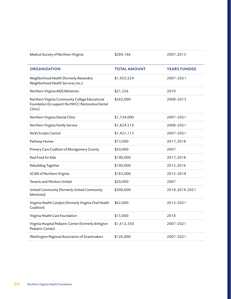| Medical Society of Northern Virginia                                                                             | \$289,166           | 2007, 2013          |
|------------------------------------------------------------------------------------------------------------------|---------------------|---------------------|
| <b>ORGANIZATION</b>                                                                                              | <b>TOTAL AMOUNT</b> | <b>YEARS FUNDED</b> |
| Neighborhood Health (formerly Alexandria<br>Neighborhood Health Services, Inc.)                                  | \$1,925,524         | 2007-2021           |
| Northern Virginia AIDS Ministries                                                                                | \$21,326            | 2010                |
| Northern Virginia Community College Educational<br>Foundation (to support the NVCC Restorative Dental<br>Clinic) | \$262,000           | 2008-2013           |
| Northern Virginia Dental Clinic                                                                                  | \$1,734,000         | 2007-2021           |
| Northern Virginia Family Service                                                                                 | \$1,824,519         | 2008-2021           |
| NoVa Scripts Central                                                                                             | \$1,421,113         | 2007-2021           |
| Pathway Homes                                                                                                    | \$73,000            | 2017,2018           |
| Primary Care Coalition of Montgomery County                                                                      | \$50,000            | 2007                |
| Real Food for Kids                                                                                               | \$100,000           | 2017,2018           |
| Rebuilding Together                                                                                              | \$100,000           | 2015,2016           |
| SCAN of Northern Virginia                                                                                        | \$183,000           | 2015-2018           |
| Tenants and Workers United                                                                                       | \$20,000            | 2007                |
| United Community (formerly United Community<br>Ministries)                                                       | \$300,000           | 2018, 2019, 2021    |
| Virginia Health Catalyst (formerly Virginia Oral Health<br>Coalition)                                            | \$62,000            | 2012-2021           |
| Virginia Health Care Foundation                                                                                  | \$15,000            | 2018                |
| Virginia Hospital Pediatric Center (formerly Arlington<br>Pediatric Center)                                      | \$1,612,350         | 2007-2021           |
| Washington Regional Association of Grantmakers                                                                   | \$126,000           | 2007-2021           |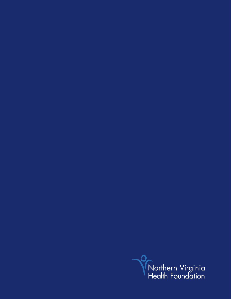